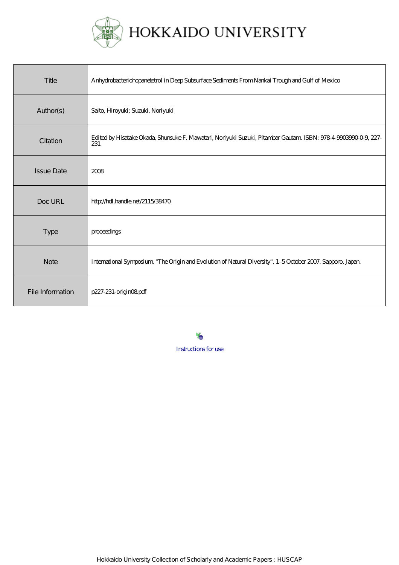

| Title             | Anhydrobacteriohopanetetrol in Deep Subsurface Sediments From Nankai Trough and Gulf of Mexico                        |
|-------------------|-----------------------------------------------------------------------------------------------------------------------|
| Author(s)         | Saito, Hiroyuki; Suzuki, Noriyuki                                                                                     |
| Citation          | Edited by Hisatake Okada, Shunsuke F. Mawatari, Noriyuki Suzuki, Pitambar Gautam ISBN: 978-4-9003990-0-9, 227-<br>231 |
| <b>Issue Date</b> | 2008                                                                                                                  |
| Doc URL           | http://hdl.handle.net/2115/38470                                                                                      |
| <b>Type</b>       | proceedings                                                                                                           |
| <b>Note</b>       | International Symposium, "The Origin and Evolution of Natural Diversity". 1-5 October 2007. Sapporo, Japan            |
| File Information  | p227-231-originO8pdf                                                                                                  |

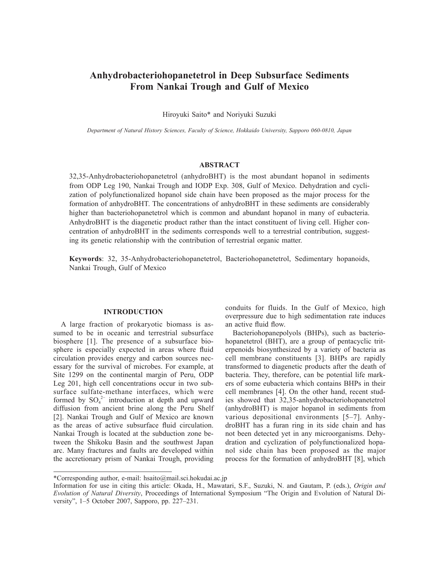# **Anhydrobacteriohopanetetrol in Deep Subsurface Sediments From Nankai Trough and Gulf of Mexico**

Hiroyuki Saito\* and Noriyuki Suzuki

*Department of Natural History Sciences, Faculty of Science, Hokkaido University, Sapporo 060-0810, Japan*

## **ABSTRACT**

32,35-Anhydrobacteriohopanetetrol (anhydroBHT) is the most abundant hopanol in sediments from ODP Leg 190, Nankai Trough and IODP Exp. 308, Gulf of Mexico. Dehydration and cyclization of polyfunctionalized hopanol side chain have been proposed as the major process for the formation of anhydroBHT. The concentrations of anhydroBHT in these sediments are considerably higher than bacteriohopanetetrol which is common and abundant hopanol in many of eubacteria. AnhydroBHT is the diagenetic product rather than the intact constituent of living cell. Higher concentration of anhydroBHT in the sediments corresponds well to a terrestrial contribution, suggesting its genetic relationship with the contribution of terrestrial organic matter.

**Keywords**: 32, 35-Anhydrobacteriohopanetetrol, Bacteriohopanetetrol, Sedimentary hopanoids, Nankai Trough, Gulf of Mexico

#### **INTRODUCTION**

A large fraction of prokaryotic biomass is assumed to be in oceanic and terrestrial subsurface biosphere [1]. The presence of a subsurface biosphere is especially expected in areas where fluid circulation provides energy and carbon sources necessary for the survival of microbes. For example, at Site 1299 on the continental margin of Peru, ODP Leg 201, high cell concentrations occur in two subsurface sulfate-methane interfaces, which were formed by  $SO_4^2$  introduction at depth and upward diffusion from ancient brine along the Peru Shelf [2]. Nankai Trough and Gulf of Mexico are known as the areas of active subsurface fluid circulation. Nankai Trough is located at the subduction zone between the Shikoku Basin and the southwest Japan arc. Many fractures and faults are developed within the accretionary prism of Nankai Trough, providing conduits for fluids. In the Gulf of Mexico, high overpressure due to high sedimentation rate induces an active fluid flow.

Bacteriohopanepolyols (BHPs), such as bacteriohopanetetrol (BHT), are a group of pentacyclic triterpenoids biosynthesized by a variety of bacteria as cell membrane constituents [3]. BHPs are rapidly transformed to diagenetic products after the death of bacteria. They, therefore, can be potential life markers of some eubacteria which contains BHPs in their cell membranes [4]. On the other hand, recent studies showed that 32,35-anhydrobacteriohopanetetrol (anhydroBHT) is major hopanol in sediments from various depositional environments [5–7]. AnhydroBHT has a furan ring in its side chain and has not been detected yet in any microorganisms. Dehydration and cyclization of polyfunctionalized hopanol side chain has been proposed as the major process for the formation of anhydroBHT [8], which

<sup>\*</sup>Corresponding author, e-mail: hsaito@mail.sci.hokudai.ac.jp

Information for use in citing this article: Okada, H., Mawatari, S.F., Suzuki, N. and Gautam, P. (eds.), *Origin and Evolution of Natural Diversity*, Proceedings of International Symposium "The Origin and Evolution of Natural Diversity", 1–5 October 2007, Sapporo, pp. 227–231.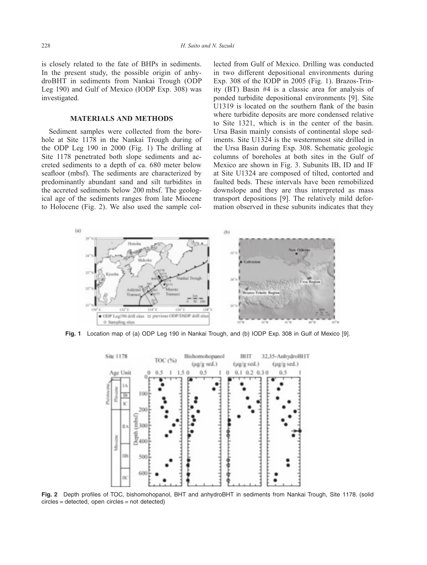is closely related to the fate of BHPs in sediments. In the present study, the possible origin of anhydroBHT in sediments from Nankai Trough (ODP Leg 190) and Gulf of Mexico (IODP Exp. 308) was investigated.

### **MATERIALS AND METHODS**

Sediment samples were collected from the borehole at Site 1178 in the Nankai Trough during of the ODP Leg 190 in 2000 (Fig. 1) The drilling at Site 1178 penetrated both slope sediments and accreted sediments to a depth of ca. 680 meter below seafloor (mbsf). The sediments are characterized by predominantly abundant sand and silt turbidites in the accreted sediments below 200 mbsf. The geological age of the sediments ranges from late Miocene to Holocene (Fig. 2). We also used the sample collected from Gulf of Mexico. Drilling was conducted in two different depositional environments during Exp. 308 of the IODP in 2005 (Fig. 1). Brazos-Trinity (BT) Basin #4 is a classic area for analysis of ponded turbidite depositional environments [9]. Site U1319 is located on the southern flank of the basin where turbidite deposits are more condensed relative to Site 1321, which is in the center of the basin. Ursa Basin mainly consists of continental slope sediments. Site U1324 is the westernmost site drilled in the Ursa Basin during Exp. 308. Schematic geologic columns of boreholes at both sites in the Gulf of Mexico are shown in Fig. 3. Subunits IB, ID and IF at Site U1324 are composed of tilted, contorted and faulted beds. These intervals have been remobilized downslope and they are thus interpreted as mass transport depositions [9]. The relatively mild deformation observed in these subunits indicates that they



**Fig. 1** Location map of (a) ODP Leg 190 in Nankai Trough, and (b) IODP Exp. 308 in Gulf of Mexico [9].



**Fig. 2** Depth profiles of TOC, bishomohopanol, BHT and anhydroBHT in sediments from Nankai Trough, Site 1178. (solid circles = detected, open circles = not detected)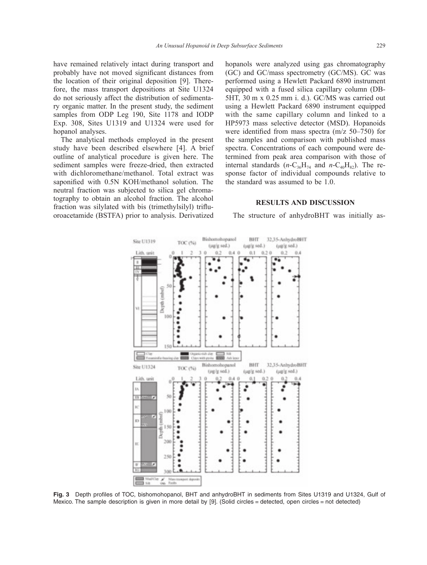have remained relatively intact during transport and probably have not moved significant distances from the location of their original deposition [9]. Therefore, the mass transport depositions at Site U1324 do not seriously affect the distribution of sedimentary organic matter. In the present study, the sediment samples from ODP Leg 190, Site 1178 and IODP Exp. 308, Sites U1319 and U1324 were used for hopanol analyses.

The analytical methods employed in the present study have been described elsewhere [4]. A brief outline of analytical procedure is given here. The sediment samples were freeze-dried, then extracted with dichloromethane/methanol. Total extract was saponified with 0.5N KOH/methanol solution. The neutral fraction was subjected to silica gel chromatography to obtain an alcohol fraction. The alcohol fraction was silylated with bis (trimethylsilyl) trifluoroacetamide (BSTFA) prior to analysis. Derivatized

hopanols were analyzed using gas chromatography (GC) and GC/mass spectrometry (GC/MS). GC was performed using a Hewlett Packard 6890 instrument equipped with a fused silica capillary column (DB-5HT, 30 m x 0.25 mm i. d.). GC/MS was carried out using a Hewlett Packard 6890 instrument equipped with the same capillary column and linked to a HP5973 mass selective detector (MSD). Hopanoids were identified from mass spectra (m/z 50–750) for the samples and comparison with published mass spectra. Concentrations of each compound were determined from peak area comparison with those of internal standards  $(n-C_{36}H_{74}$  and  $n-C_{40}H_{82})$ . The response factor of individual compounds relative to the standard was assumed to be 1.0.

### **RESULTS AND DISCUSSION**

The structure of anhydroBHT was initially as-



**Fig. 3** Depth profiles of TOC, bishomohopanol, BHT and anhydroBHT in sediments from Sites U1319 and U1324, Gulf of Mexico. The sample description is given in more detail by [9]. (Solid circles = detected, open circles = not detected)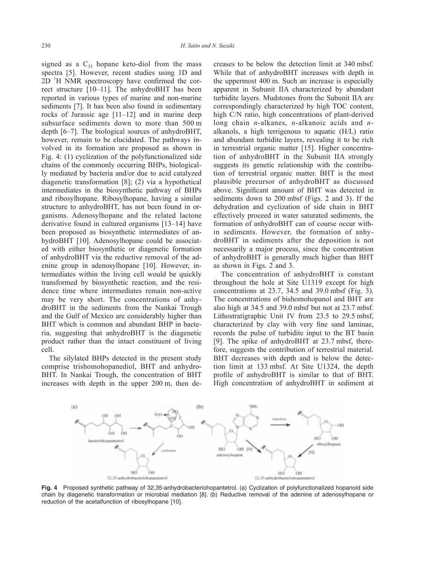signed as a  $C_{35}$  hopane keto-diol from the mass spectra [5]. However, recent studies using 1D and 2D <sup>1</sup>H NMR spectroscopy have confirmed the correct structure [10–11]. The anhydroBHT has been reported in various types of marine and non-marine sediments [7]. It has been also found in sedimentary rocks of Jurassic age [11–12] and in marine deep subsurface sediments down to more than 500 m depth [6–7]. The biological sources of anhydroBHT, however, remain to be elucidated. The pathways involved in its formation are proposed as shown in Fig. 4: (1) cyclization of the polyfunctionalized side chains of the commonly occurring BHPs, biologically mediated by bacteria and/or due to acid catalyzed diagenetic transformation [8]; (2) via a hypothetical intermediates in the biosynthetic pathway of BHPs and ribosylhopane. Ribosylhopane, having a similar structure to anhydroBHT, has not been found in organisms. Adenosylhopane and the related lactone derivative found in cultured organisms [13–14] have been proposed as biosynthetic intermediates of anhydroBHT [10]. Adenosylhopane could be associated with either biosynthetic or diagenetic formation of anhydroBHT via the reductive removal of the adenine group in adenosylhopane [10]. However, intermediates within the living cell would be quickly transformed by biosynthetic reaction, and the residence time where intermediates remain non-active may be very short. The concentrations of anhydroBHT in the sediments from the Nankai Trough and the Gulf of Mexico are considerably higher than BHT which is common and abundant BHP in bacteria, suggesting that anhydroBHT is the diagenetic product rather than the intact constituent of living cell.

The silylated BHPs detected in the present study comprise trishomohopanediol, BHT and anhydro-BHT. In Nankai Trough, the concentration of BHT increases with depth in the upper 200 m, then decreases to be below the detection limit at 340 mbsf. While that of anhydroBHT increases with depth in the uppermost 400 m. Such an increase is especially apparent in Subunit IIA characterized by abundant turbidite layers. Mudstones from the Subunit IIA are correspondingly characterized by high TOC content, high C/N ratio, high concentrations of plant-derived long chain *n*-alkanes, *n*-alkanoic acids and *n*alkanols, a high terrigenous to aquatic (H/L) ratio and abundant turbidite layers, revealing it to be rich in terrestrial organic matter [15]. Higher concentration of anhydroBHT in the Subunit IIA strongly suggests its genetic relationship with the contribution of terrestrial organic matter. BHT is the most plausible precursor of anhydroBHT as discussed above. Significant amount of BHT was detected in sediments down to 200 mbsf (Figs. 2 and 3). If the dehydration and cyclization of side chain in BHT effectively proceed in water saturated sediments, the formation of anhydroBHT can of course occur within sediments. However, the formation of anhydroBHT in sediments after the deposition is not necessarily a major process, since the concentration of anhydroBHT is generally much higher than BHT as shown in Figs. 2 and 3.

The concentration of anhydroBHT is constant throughout the hole at Site U1319 except for high concentrations at 23.7, 34.5 and 39.0 mbsf (Fig. 3). The concentrations of bishomohopanol and BHT are also high at 34.5 and 39.0 mbsf but not at 23.7 mbsf. Lithostratigraphic Unit IV from 23.5 to 29.5 mbsf, characterized by clay with very fine sand laminae, records the pulse of turbidite input to the BT basin [9]. The spike of anhydroBHT at 23.7 mbsf, therefore, suggests the contribution of terrestrial material. BHT decreases with depth and is below the detection limit at 133 mbsf. At Site U1324, the depth profile of anhydroBHT is similar to that of BHT. High concentration of anhydroBHT in sediment at



**Fig. 4** Proposed synthetic pathway of 32,35-anhydrobacteriohopantetrol. (a) Cyclization of polyfunctionalized hopanoid side chain by diagenetic transformation or microbial mediation [8]. (b) Reductive removal of the adenine of adenosylhopane or reduction of the acetalfunction of ribosylhopane [10].